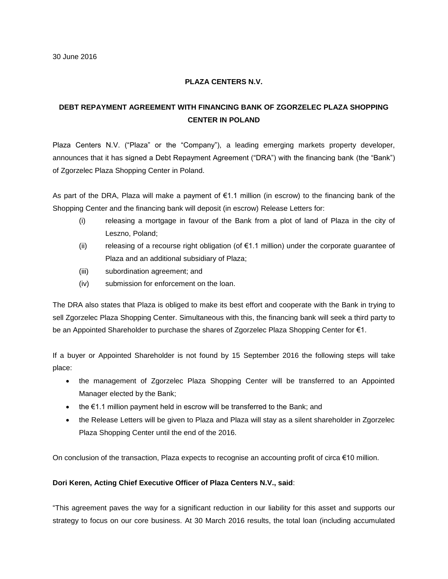## **PLAZA CENTERS N.V.**

## **DEBT REPAYMENT AGREEMENT WITH FINANCING BANK OF ZGORZELEC PLAZA SHOPPING CENTER IN POLAND**

Plaza Centers N.V. ("Plaza" or the "Company"), a leading emerging markets property developer, announces that it has signed a Debt Repayment Agreement ("DRA") with the financing bank (the "Bank") of Zgorzelec Plaza Shopping Center in Poland.

As part of the DRA, Plaza will make a payment of €1.1 million (in escrow) to the financing bank of the Shopping Center and the financing bank will deposit (in escrow) Release Letters for:

- (i) releasing a mortgage in favour of the Bank from a plot of land of Plaza in the city of Leszno, Poland;
- (ii) releasing of a recourse right obligation (of  $\epsilon$ 1.1 million) under the corporate guarantee of Plaza and an additional subsidiary of Plaza;
- (iii) subordination agreement; and
- (iv) submission for enforcement on the loan.

The DRA also states that Plaza is obliged to make its best effort and cooperate with the Bank in trying to sell Zgorzelec Plaza Shopping Center. Simultaneous with this, the financing bank will seek a third party to be an Appointed Shareholder to purchase the shares of Zgorzelec Plaza Shopping Center for €1.

If a buyer or Appointed Shareholder is not found by 15 September 2016 the following steps will take place:

- the management of Zgorzelec Plaza Shopping Center will be transferred to an Appointed Manager elected by the Bank;
- the  $€1.1$  million payment held in escrow will be transferred to the Bank; and
- the Release Letters will be given to Plaza and Plaza will stay as a silent shareholder in Zgorzelec Plaza Shopping Center until the end of the 2016.

On conclusion of the transaction, Plaza expects to recognise an accounting profit of circa €10 million.

## **Dori Keren, Acting Chief Executive Officer of Plaza Centers N.V., said**:

"This agreement paves the way for a significant reduction in our liability for this asset and supports our strategy to focus on our core business. At 30 March 2016 results, the total loan (including accumulated